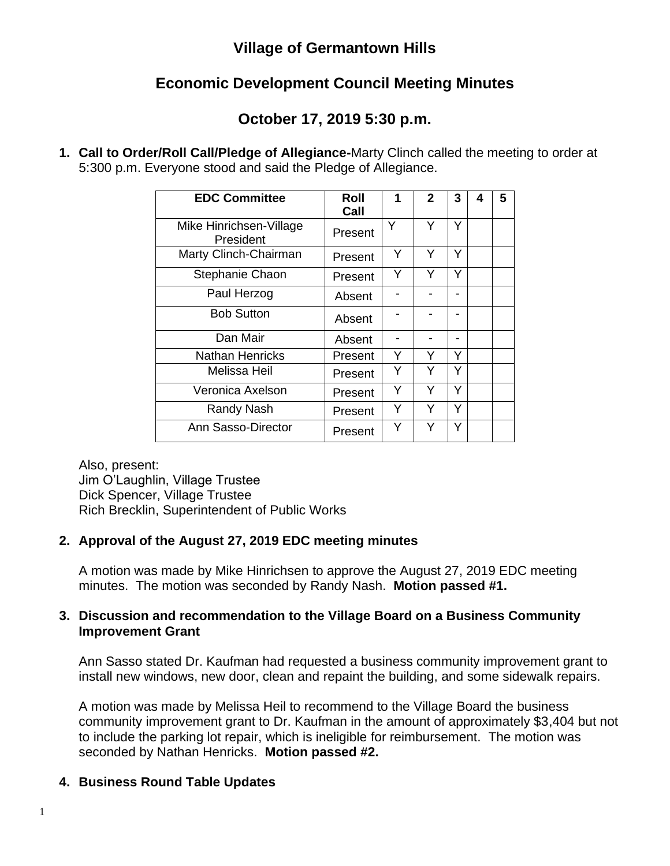### **Village of Germantown Hills**

# **Economic Development Council Meeting Minutes**

# **October 17, 2019 5:30 p.m.**

**1. Call to Order/Roll Call/Pledge of Allegiance-**Marty Clinch called the meeting to order at 5:300 p.m. Everyone stood and said the Pledge of Allegiance.

| <b>EDC Committee</b>                 | Roll<br>Call | 1 | $\mathbf{2}$ | 3 | 4 | 5 |
|--------------------------------------|--------------|---|--------------|---|---|---|
| Mike Hinrichsen-Village<br>President | Present      | Y | Y            | Y |   |   |
| Marty Clinch-Chairman                | Present      | Y | Y            | Y |   |   |
| Stephanie Chaon                      | Present      | Y | Y            | Y |   |   |
| Paul Herzog                          | Absent       |   |              |   |   |   |
| <b>Bob Sutton</b>                    | Absent       |   |              |   |   |   |
| Dan Mair                             | Absent       |   |              |   |   |   |
| Nathan Henricks                      | Present      | Y | Y            | Y |   |   |
| Melissa Heil                         | Present      | Y | Y            | Y |   |   |
| Veronica Axelson                     | Present      | Y | Υ            | Y |   |   |
| <b>Randy Nash</b>                    | Present      | Y | Y            | Y |   |   |
| Ann Sasso-Director                   | Present      | Y | Y            | Y |   |   |

Also, present: Jim O'Laughlin, Village Trustee Dick Spencer, Village Trustee Rich Brecklin, Superintendent of Public Works

### **2. Approval of the August 27, 2019 EDC meeting minutes**

A motion was made by Mike Hinrichsen to approve the August 27, 2019 EDC meeting minutes. The motion was seconded by Randy Nash. **Motion passed #1.**

#### **3. Discussion and recommendation to the Village Board on a Business Community Improvement Grant**

Ann Sasso stated Dr. Kaufman had requested a business community improvement grant to install new windows, new door, clean and repaint the building, and some sidewalk repairs.

A motion was made by Melissa Heil to recommend to the Village Board the business community improvement grant to Dr. Kaufman in the amount of approximately \$3,404 but not to include the parking lot repair, which is ineligible for reimbursement. The motion was seconded by Nathan Henricks. **Motion passed #2.**

### **4. Business Round Table Updates**